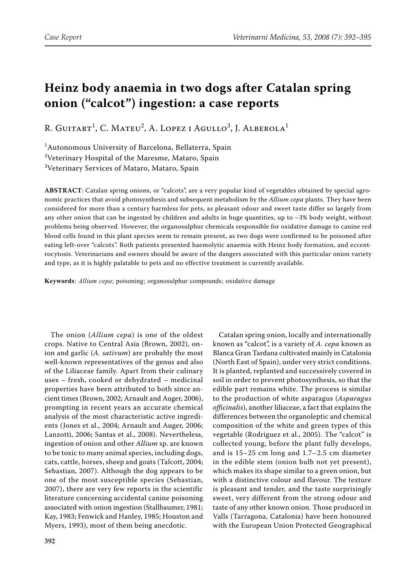# **Heinz body anaemia in two dogs after Catalan spring onion ("calcot") ingestion: a case reports**

R. GUITART<sup>1</sup>, C. Mateu<sup>2</sup>, A. Lopez i Agullo<sup>3</sup>, J. Alberola<sup>1</sup>

1 Autonomous University of Barcelona, Bellaterra, Spain  $^{2}$ Veterinary Hospital of the Maresme, Mataro, Spain  $^3$ Veterinary Services of Mataro, Mataro, Spain

**ABSTRACT**: Catalan spring onions, or "calcots", are a very popular kind of vegetables obtained by special agronomic practices that avoid photosynthesis and subsequent metabolism by the *Allium cepa* plants. They have been considered for more than a century harmless for pets, as pleasant odour and sweet taste differ so largely from any other onion that can be ingested by children and adults in huge quantities, up to  $\sim$ 3% body weight, without problems being observed. However, the organosulphur chemicals responsible for oxidative damage to canine red blood cells found in this plant species seem to remain present, as two dogs were confirmed to be poisoned after eating left-over "calcots". Both patients presented haemolytic anaemia with Heinz body formation, and eccentrocytosis. Veterinarians and owners should be aware of the dangers associated with this particular onion variety and type, as it is highly palatable to pets and no effective treatment is currently available.

**Keywords**: *Allium cepa*; poisoning; organosulphur compounds; oxidative damage

The onion (*Allium cepa*) is one of the oldest crops. Native to Central Asia (Brown, 2002), onion and garlic (*A. sativum*) are probably the most well-known representatives of the genus and also of the Liliaceae family. Apart from their culinary uses – fresh, cooked or dehydrated – medicinal properties have been attributed to both since ancient times (Brown, 2002; Arnault and Auger, 2006), prompting in recent years an accurate chemical analysis of the most characteristic active ingredients (Jones et al., 2004; Arnault and Auger, 2006; Lanzotti, 2006; Santas et al., 2008). Nevertheless, ingestion of onion and other *Allium* sp. are known to be toxic to many animal species, including dogs, cats, cattle, horses, sheep and goats (Talcott, 2004; Sebastian, 2007). Although the dog appears to be one of the most susceptible species (Sebastian, 2007), there are very few reports in the scientific literature concerning accidental canine poisoning associated with onion ingestion (Stallbaumer, 1981; Kay, 1983; Fenwick and Hanley, 1985; Houston and Myers, 1993), most of them being anecdotic.

Catalan spring onion, locally and internationally known as "calcot", is a variety of *A. cepa* known as Blanca Gran Tardana cultivated mainly in Catalonia (North East of Spain), under very strict conditions. It is planted, replanted and successively covered in soil in order to prevent photosynthesis, so that the edible part remains white. The process is similar to the production of white asparagus (*Asparagus officinalis*), another liliaceae, a fact that explains the differences between the organoleptic and chemical composition of the white and green types of this vegetable (Rodriguez et al., 2005). The "calcot" is collected young, before the plant fully develops, and is 15–25 cm long and 1.7–2.5 cm diameter in the edible stem (onion bulb not yet present), which makes its shape similar to a green onion, but with a distinctive colour and flavour. The texture is pleasant and tender, and the taste surprisingly sweet, very different from the strong odour and taste of any other known onion. Those produced in Valls (Tarragona, Catalonia) have been honoured with the European Union Protected Geographical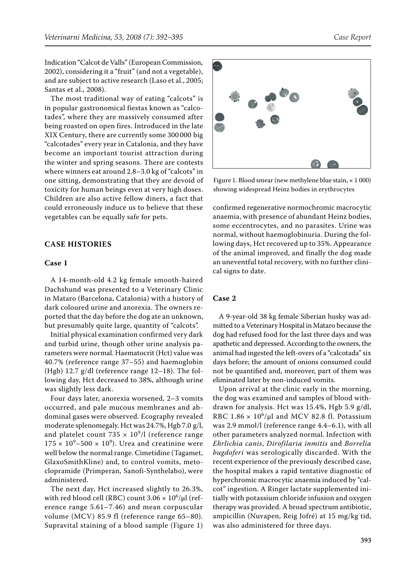Indication "Calcot de Valls" (European Commission, 2002), considering it a "fruit" (and not a vegetable), and are subject to active research (Laso et al., 2005; Santas et al., 2008).

The most traditional way of eating "calcots" is in popular gastronomical fiestas known as "calcotades", where they are massively consumed after being roasted on open fires. Introduced in the late XIX Century, there are currently some 300 000 big "calcotades" every year in Catalonia, and they have become an important tourist attraction during the winter and spring seasons. There are contests where winners eat around 2.8–3.0 kg of "calcots" in one sitting, demonstrating that they are devoid of toxicity for human beings even at very high doses. Children are also active fellow diners, a fact that could erroneously induce us to believe that these vegetables can be equally safe for pets.

## **CASE HISTORIES**

### **Case 1**

A 14-month-old 4.2 kg female smooth-haired Dachshund was presented to a Veterinary Clinic in Mataro (Barcelona, Catalonia) with a history of dark coloured urine and anorexia. The owners reported that the day before the dog ate an unknown, but presumably quite large, quantity of "calcots".

Initial physical examination confirmed very dark and turbid urine, though other urine analysis parameters were normal. Haematocrit (Hct) value was 40.7% (reference range 37–55) and haemoglobin (Hgb) 12.7 g/dl (reference range 12–18). The following day, Hct decreased to 38%, although urine was slightly less dark.

Four days later, anorexia worsened, 2–3 vomits occurred, and pale mucous membranes and abdominal gases were observed. Ecography revealed moderate splenomegaly. Hct was 24.7%, Hgb 7.0 g/l, and platelet count 735  $\times$  10<sup>9</sup>/l (reference range  $175 \times 10^9 - 500 \times 10^9$ ). Urea and creatinine were well below the normal range. Cimetidine (Tagamet, GlaxoSmithKline) and, to control vomits, metoclopramide (Primperan, Sanofi-Synthelabo), were administered.

The next day, Hct increased slightly to 26.3%, with red blood cell (RBC) count 3.06  $\times$   $10^6/\mu l$  (reference range 5.61–7.46) and mean corpuscular volume (MCV) 85.9 fl (reference range 65–80). Supravital staining of a blood sample (Figure 1)



Figure 1. Blood smear (new methylene blue stain,  $\times$  1 000) showing widespread Heinz bodies in erythrocytes

confirmed regenerative normochromic macrocytic anaemia, with presence of abundant Heinz bodies, some eccentrocytes, and no parasites. Urine was normal, without haemoglobinuria. During the following days, Hct recovered up to 35%. Appearance of the animal improved, and finally the dog made an uneventful total recovery, with no further clinical signs to date.

## **Case 2**

A 9-year-old 38 kg female Siberian husky was admitted to a Veterinary Hospital in Mataro because the dog had refused food for the last three days and was apathetic and depressed. According to the owners, the animal had ingested the left-overs of a "calcotada" six days before; the amount of onions consumed could not be quantified and, moreover, part of them was eliminated later by non-induced vomits.

Upon arrival at the clinic early in the morning, the dog was examined and samples of blood withdrawn for analysis. Hct was 15.4%, Hgb 5.9 g/dl, RBC  $1.86 \times 10^6/\mu l$  and MCV 82.8 fl. Potassium was 2.9 mmol/l (reference range 4.4–6.1), with all other parameters analyzed normal. Infection with *Ehrlichia canis*, *Dirofilaria inmitis* and *Borrelia bugdoferi* was serologically discarded. With the recent experience of the previously described case, the hospital makes a rapid tentative diagnostic of hyperchromic macrocytic anaemia induced by "calcot" ingestion. A Ringer lactate supplemented initially with potassium chloride infusion and oxygen therapy was provided. A broad spectrum antibiotic, ampicillin (Nuvapen, Reig Jofré) at 15 mg/kg tid, was also administered for three days.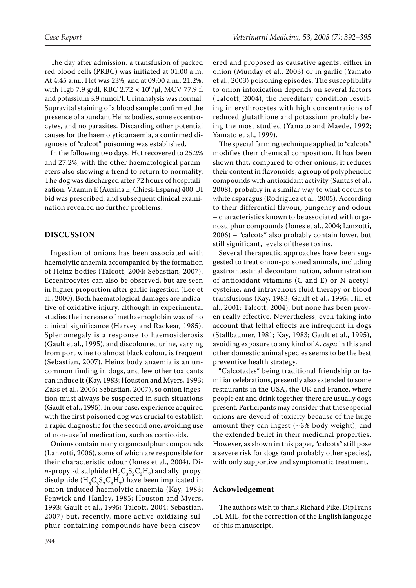The day after admission, a transfusion of packed red blood cells (PRBC) was initiated at 01:00 a.m. At 4:45 a.m., Hct was 23%, and at 09:00 a.m., 21.2%, with Hgb 7.9 g/dl, RBC  $2.72 \times 10^6/\mu$ l, MCV 77.9 fl and potassium 3.9 mmol/l. Urinanalysis was normal. Supravital staining of a blood sample confirmed the presence of abundant Heinz bodies, some eccentrocytes, and no parasites. Discarding other potential causes for the haemolytic anaemia, a confirmed diagnosis of "calcot" poisoning was established.

In the following two days, Hct recovered to 25.2% and 27.2%, with the other haematological parameters also showing a trend to return to normality. The dog was discharged after 72 hours of hospitalization. Vitamin E (Auxina E; Chiesi-Espana) 400 UI bid was prescribed, and subsequent clinical examination revealed no further problems.

### **DISCUSSION**

Ingestion of onions has been associated with haemolytic anaemia accompanied by the formation of Heinz bodies (Talcott, 2004; Sebastian, 2007). Eccentrocytes can also be observed, but are seen in higher proportion after garlic ingestion (Lee et al., 2000). Both haematological damages are indicative of oxidative injury, although in experimental studies the increase of methaemoglobin was of no clinical significance (Harvey and Rackear, 1985). Splenomegaly is a response to haemosiderosis (Gault et al., 1995), and discoloured urine, varying from port wine to almost black colour, is frequent (Sebastian, 2007). Heinz body anaemia is an uncommon finding in dogs, and few other toxicants can induce it (Kay, 1983; Houston and Myers, 1993; Zaks et al., 2005; Sebastian, 2007), so onion ingestion must always be suspected in such situations (Gault et al., 1995). In our case, experience acquired with the first poisoned dog was crucial to establish a rapid diagnostic for the second one, avoiding use of non-useful medication, such as corticoids.

Onions contain many organosulphur compounds (Lanzotti, 2006), some of which are responsible for their characteristic odour (Jones et al., 2004). Di*n*-propyl-disulphide  $(H_C G_3 S_2 C_3 H_7)$  and allyl propyl disulphide  $(H_5C_3S_2C_3H_7)$  have been implicated in onion-induced haemolytic anaemia (Kay, 1983; Fenwick and Hanley, 1985; Houston and Myers, 1993; Gault et al., 1995; Talcott, 2004; Sebastian, 2007) but, recently, more active oxidizing sulphur-containing compounds have been discov-

ered and proposed as causative agents, either in onion (Munday et al., 2003) or in garlic (Yamato et al., 2003) poisoning episodes. The susceptibility to onion intoxication depends on several factors (Talcott, 2004), the hereditary condition resulting in erythrocytes with high concentrations of reduced glutathione and potassium probably being the most studied (Yamato and Maede, 1992; Yamato et al., 1999).

The special farming technique applied to "calcots" modifies their chemical composition. It has been shown that, compared to other onions, it reduces their content in flavonoids, a group of polyphenolic compounds with antioxidant activity (Santas et al., 2008), probably in a similar way to what occurs to white asparagus (Rodriguez et al., 2005). According to their differential flavour, pungency and odour – characteristics known to be associated with organosulphur compounds (Jones et al., 2004; Lanzotti, 2006) – "calcots" also probably contain lower, but still significant, levels of these toxins.

Several therapeutic approaches have been suggested to treat onion-poisoned animals, including gastrointestinal decontamination, administration of antioxidant vitamins (C and E) or N-acetylcysteine, and intravenous fluid therapy or blood transfusions (Kay, 1983; Gault et al., 1995; Hill et al., 2001; Talcott, 2004), but none has been proven really effective. Nevertheless, even taking into account that lethal effects are infrequent in dogs (Stallbaumer, 1981; Kay, 1983; Gault et al., 1995), avoiding exposure to any kind of *A. cepa* in this and other domestic animal species seems to be the best preventive health strategy.

"Calcotades" being traditional friendship or familiar celebrations, presently also extended to some restaurants in the USA, the UK and France, where people eat and drink together, there are usually dogs present. Participants may consider that these special onions are devoid of toxicity because of the huge amount they can ingest  $(\sim 3\%$  body weight), and the extended belief in their medicinal properties. However, as shown in this paper, "calcots" still pose a severe risk for dogs (and probably other species), with only supportive and symptomatic treatment.

#### **Ackowledgement**

The authors wish to thank Richard Pike, DipTrans IoL MIL, for the correction of the English language of this manuscript.